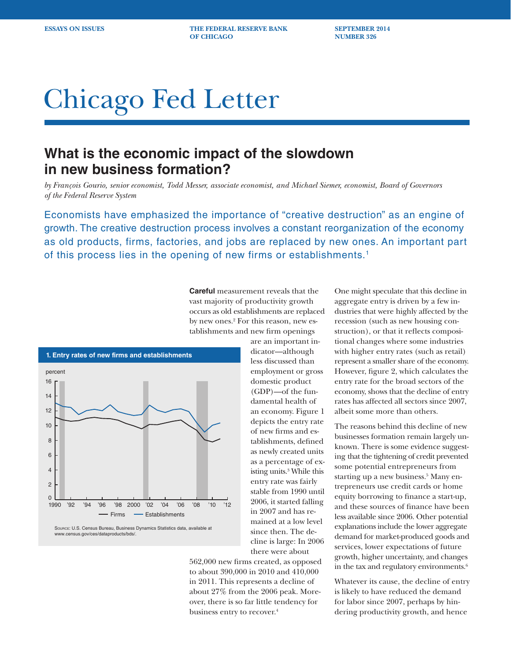**ESSAYS ON ISSUES THE FEDERAL RESERVE BANK SEPTEMBER 2014 OF CHICAGO NUMBER 326**

# Chicago Fed Letter

# **What is the economic impact of the slowdown in new business formation?**

*by François Gourio, senior economist, Todd Messer, associate economist, and Michael Siemer, economist, Board of Governors of the Federal Reserve System*

Economists have emphasized the importance of "creative destruction" as an engine of growth. The creative destruction process involves a constant reorganization of the economy as old products, firms, factories, and jobs are replaced by new ones. An important part of this process lies in the opening of new firms or establishments.<sup>1</sup>

> **Careful** measurement reveals that the vast majority of productivity growth occurs as old establishments are replaced by new ones.<sup>2</sup> For this reason, new establishments and new firm openings



Source: U.S. Census Bureau, Business Dynamics Statistics data, available at www.census.gov/ces/dataproducts/bds/.

are an important indicator—although less discussed than employment or gross domestic product (GDP)—of the fundamental health of an economy. Figure 1 depicts the entry rate of new firms and establishments, defined as newly created units as a percentage of existing units.3 While this entry rate was fairly stable from 1990 until 2006, it started falling in 2007 and has remained at a low level since then. The decline is large: In 2006 there were about

562,000 new firms created, as opposed to about 390,000 in 2010 and 410,000 in 2011. This represents a decline of about 27% from the 2006 peak. Moreover, there is so far little tendency for business entry to recover.4

One might speculate that this decline in aggregate entry is driven by a few industries that were highly affected by the recession (such as new housing construction), or that it reflects compositional changes where some industries with higher entry rates (such as retail) represent a smaller share of the economy. However, figure 2, which calculates the entry rate for the broad sectors of the economy, shows that the decline of entry rates has affected all sectors since 2007, albeit some more than others.

The reasons behind this decline of new businesses formation remain largely unknown. There is some evidence suggesting that the tightening of credit prevented some potential entrepreneurs from starting up a new business.<sup>5</sup> Many entrepreneurs use credit cards or home equity borrowing to finance a start-up, and these sources of finance have been less available since 2006. Other potential explanations include the lower aggregate demand for market-produced goods and services, lower expectations of future growth, higher uncertainty, and changes in the tax and regulatory environments. $6$ 

Whatever its cause, the decline of entry is likely to have reduced the demand for labor since 2007, perhaps by hindering productivity growth, and hence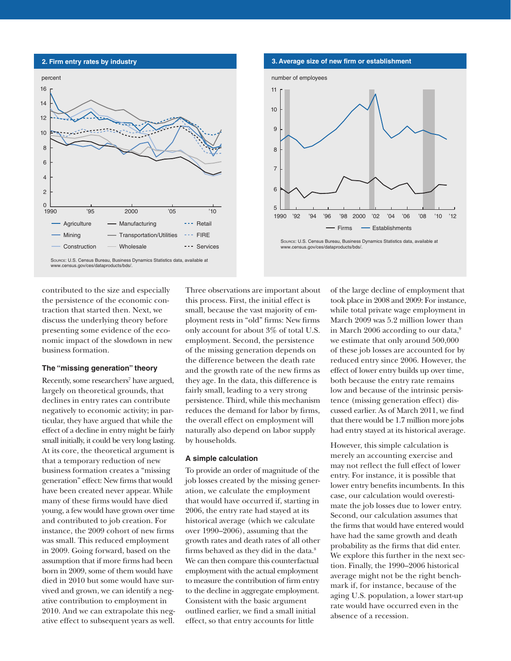



contributed to the size and especially the persistence of the economic contraction that started then. Next, we discuss the underlying theory before presenting some evidence of the economic impact of the slowdown in new business formation.

#### **The "missing generation" theory**

Recently, some researchers<sup>7</sup> have argued, largely on theoretical grounds, that declines in entry rates can contribute negatively to economic activity; in particular, they have argued that while the effect of a decline in entry might be fairly small initially, it could be very long lasting. At its core, the theoretical argument is that a temporary reduction of new business formation creates a "missing generation" effect: New firms that would have been created never appear. While many of these firms would have died young, a few would have grown over time and contributed to job creation. For instance, the 2009 cohort of new firms was small. This reduced employment in 2009. Going forward, based on the assumption that if more firms had been born in 2009, some of them would have died in 2010 but some would have survived and grown, we can identify a negative contribution to employment in 2010. And we can extrapolate this negative effect to subsequent years as well.

Three observations are important about this process. First, the initial effect is small, because the vast majority of employment rests in "old" firms: New firms only account for about 3% of total U.S. employment. Second, the persistence of the missing generation depends on the difference between the death rate and the growth rate of the new firms as they age. In the data, this difference is fairly small, leading to a very strong persistence. Third, while this mechanism reduces the demand for labor by firms, the overall effect on employment will naturally also depend on labor supply by households.

## **A simple calculation**

To provide an order of magnitude of the job losses created by the missing generation, we calculate the employment that would have occurred if, starting in 2006, the entry rate had stayed at its historical average (which we calculate over 1990–2006), assuming that the growth rates and death rates of all other firms behaved as they did in the data.<sup>8</sup> We can then compare this counterfactual employment with the actual employment to measure the contribution of firm entry to the decline in aggregate employment. Consistent with the basic argument outlined earlier, we find a small initial effect, so that entry accounts for little

of the large decline of employment that took place in 2008 and 2009: For instance, while total private wage employment in March 2009 was 5.2 million lower than in March 2006 according to our data,<sup>9</sup> we estimate that only around 500,000 of these job losses are accounted for by reduced entry since 2006. However, the effect of lower entry builds up over time, both because the entry rate remains low and because of the intrinsic persistence (missing generation effect) discussed earlier. As of March 2011, we find that there would be 1.7 million more jobs had entry stayed at its historical average.

However, this simple calculation is merely an accounting exercise and may not reflect the full effect of lower entry. For instance, it is possible that lower entry benefits incumbents. In this case, our calculation would overestimate the job losses due to lower entry. Second, our calculation assumes that the firms that would have entered would have had the same growth and death probability as the firms that did enter. We explore this further in the next section. Finally, the 1990–2006 historical average might not be the right benchmark if, for instance, because of the aging U.S. population, a lower start-up rate would have occurred even in the absence of a recession.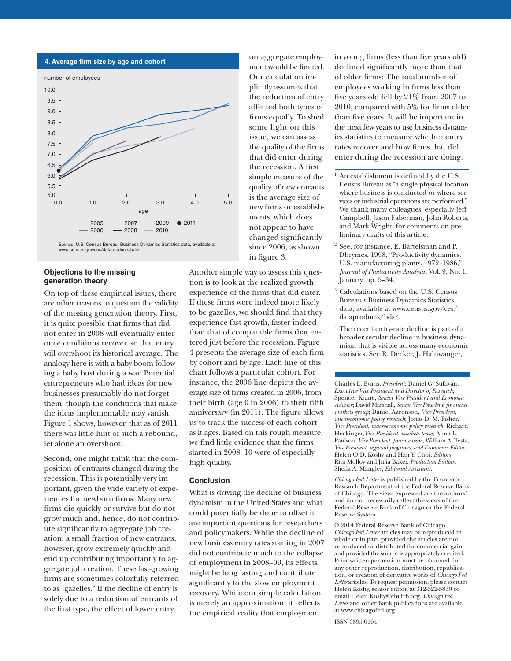

#### **Objections to the missing generation theory**

On top of these empirical issues, there are other reasons to question the validity of the missing generation theory. First, it is quite possible that firms that did not enter in 2008 will eventually enter once conditions recover, so that entry will overshoot its historical average. The analogy here is with a baby boom following a baby bust during a war. Potential entrepreneurs who had ideas for new businesses presumably do not forget them, though the conditions that make the ideas implementable may vanish. Figure 1 shows, however, that as of 2011 there was little hint of such a rebound, let alone an overshoot.

Second, one might think that the composition of entrants changed during the recession. This is potentially very important, given the wide variety of experiences for newborn firms. Many new firms die quickly or survive but do not grow much and, hence, do not contribute significantly to aggregate job creation; a small fraction of new entrants, however, grow extremely quickly and end up contributing importantly to aggregate job creation. These fast-growing firms are sometimes colorfully referred to as "gazelles." If the decline of entry is solely due to a reduction of entrants of the first type, the effect of lower entry

on aggregate employment would be limited. Our calculation implicitly assumes that the reduction of entry affected both types of firms equally. To shed some light on this issue, we can assess the quality of the firms that did enter during the recession. A first simple measure of the quality of new entrants is the average size of new firms or establishments, which does not appear to have changed significantly since 2006, as shown in figure 3.

Another simple way to assess this question is to look at the realized growth experience of the firms that did enter. If these firms were indeed more likely to be gazelles, we should find that they experience fast growth, faster indeed than that of comparable firms that entered just before the recession. Figure 4 presents the average size of each firm by cohort and by age. Each line of this chart follows a particular cohort. For instance, the 2006 line depicts the average size of firms created in 2006, from their birth (age 0 in 2006) to their fifth anniversary (in 2011). The figure allows us to track the success of each cohort as it ages. Based on this rough measure, we find little evidence that the firms started in 2008–10 were of especially high quality.

## **Conclusion**

What is driving the decline of business dynamism in the United States and what could potentially be done to offset it are important questions for researchers and policymakers. While the decline of new business entry rates starting in 2007 did not contribute much to the collapse of employment in 2008–09, its effects might be long lasting and contribute significantly to the slow employment recovery. While our simple calculation is merely an approximation, it reflects the empirical reality that employment

in young firms (less than five years old) declined significantly more than that of older firms: The total number of employees working in firms less than five years old fell by 21% from 2007 to 2010, compared with 5% for firms older than five years. It will be important in the next few years to use business dynamics statistics to measure whether entry rates recover and how firms that did enter during the recession are doing.

- $<sup>1</sup>$  An establishment is defined by the U.S.</sup> Census Bureau as "a single physical location where business is conducted or where services or industrial operations are performed." We thank many colleagues, especially Jeff Campbell, Jason Faberman, John Roberts, and Mark Wright, for comments on preliminary drafts of this article.
- See, for instance, E. Bartelsman and P. Dhrymes, 1998, "Productivity dynamics: U.S. manufacturing plants, 1972–1986," *Journal of Productivity Analysis*, Vol. 9, No. 1, January, pp. 5–34.
- <sup>3</sup> Calculations based on the U.S. Census Bureau's Business Dynamics Statistics data, available at www.census.gov/ces/ dataproducts/bds/.
- <sup>4</sup> The recent entry-rate decline is part of a broader secular decline in business dynamism that is visible across many economic statistics. See R. Decker, J. Haltiwanger,

Charles L. Evans, *President*; Daniel G. Sullivan, *Executive Vice President and Director of Research*; Spencer Krane, *Senior Vice President and Economic Advisor*; David Marshall, *Senior Vice President*, *financial markets group*; Daniel Aaronson, *Vice President*, *microeconomic policy research*; Jonas D. M. Fisher, *Vice President*, *macroeconomic policy research*; Richard Heckinger,*Vice President*, *markets team*; Anna L. Paulson, *Vice President*, *finance team*; William A. Testa, *Vice President*, *regional programs*, *and Economics Editor*; Helen O'D. Koshy and Han Y. Choi, *Editors* ; Rita Molloy and Julia Baker, *Production Editors*; Sheila A. Mangler, *Editorial Assistant.* 

*Chicago Fed Letter* is published by the Economic Research Department of the Federal Reserve Bank of Chicago. The views expressed are the authors' and do not necessarily reflect the views of the Federal Reserve Bank of Chicago or the Federal Reserve System.

© 2014 Federal Reserve Bank of Chicago *Chicago Fed Letter* articles may be reproduced in whole or in part, provided the articles are not reproduced or distributed for commercial gain and provided the source is appropriately credited. Prior written permission must be obtained for any other reproduction, distribution, republication, or creation of derivative works of *Chicago Fed Letter* articles. To request permission, please contact Helen Koshy, senior editor, at 312-322-5830 or email Helen.Koshy@chi.frb.org. *Chicago Fed Letter* and other Bank publications are available at www.chicagofed.org.

ISSN 0895-0164